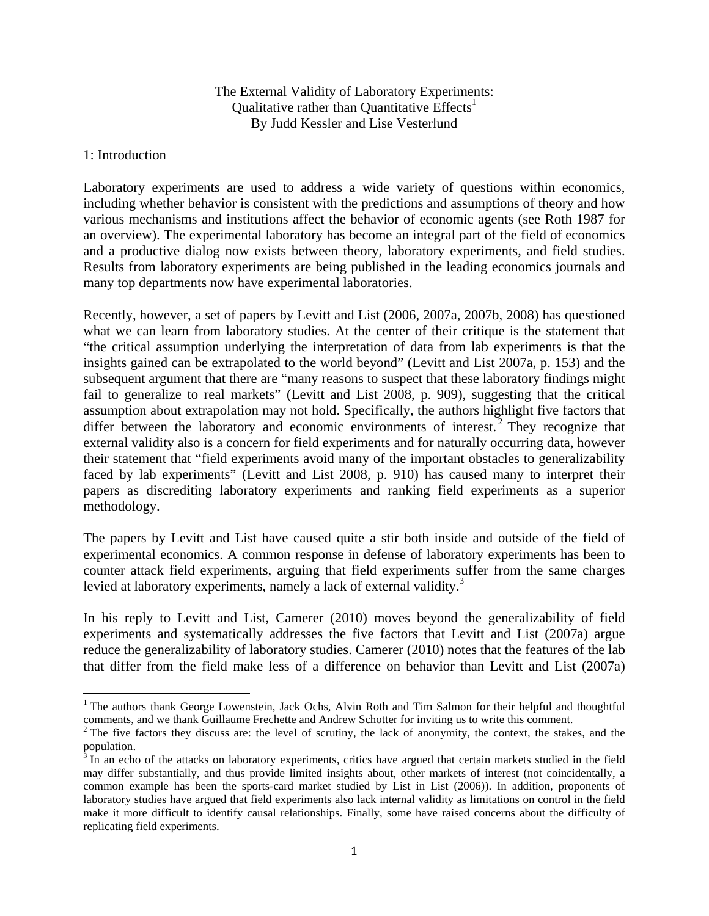The External Validity of Laboratory Experiments: Qualitative rather than Quantitative  $E \nvert^1$ By Judd Kessler and Lise Vesterlund

## 1: Introduction

Laboratory experiments are used to address a wide variety of questions within economics, including whether behavior is consistent with the predictions and assumptions of theory and how various mechanisms and institutions affect the behavior of economic agents (see Roth 1987 for an overview). The experimental laboratory has become an integral part of the field of economics and a productive dialog now exists between theory, laboratory experiments, and field studies. Results from laboratory experiments are being published in the leading economics journals and many top departments now have experimental laboratories.

Recently, however, a set of papers by Levitt and List (2006, 2007a, 2007b, 2008) has questioned what we can learn from laboratory studies. At the center of their critique is the statement that "the critical assumption underlying the interpretation of data from lab experiments is that the insights gained can be extrapolated to the world beyond" (Levitt and List 2007a, p. 153) and the subsequent argument that there are "many reasons to suspect that these laboratory findings might fail to generalize to real markets" (Levitt and List 2008, p. 909), suggesting that the critical assumption about extrapolation may not hold. Specifically, the authors highlight five factors that differ between the laboratory and economic environments of interest.<sup>2</sup> They recognize that external validity also is a concern for field experiments and for naturally occurring data, however their statement that "field experiments avoid many of the important obstacles to generalizability faced by lab experiments" (Levitt and List 2008, p. 910) has caused many to interpret their papers as discrediting laboratory experiments and ranking field experiments as a superior methodology.

The papers by Levitt and List have caused quite a stir both inside and outside of the field of experimental economics. A common response in defense of laboratory experiments has been to counter attack field experiments, arguing that field experiments suffer from the same charges levied at laboratory experiments, namely a lack of external validity.<sup>3</sup>

In his reply to Levitt and List, Camerer (2010) moves beyond the generalizability of field experiments and systematically addresses the five factors that Levitt and List (2007a) argue reduce the generalizability of laboratory studies. Camerer (2010) notes that the features of the lab that differ from the field make less of a difference on behavior than Levitt and List (2007a)

<sup>&</sup>lt;sup>1</sup> The authors thank George Lowenstein, Jack Ochs, Alvin Roth and Tim Salmon for their helpful and thoughtful comments, and we thank Guillaume Frechette and Andrew Schotter for inviting us to write this comment.

 $2$  The five factors they discuss are: the level of scrutiny, the lack of anonymity, the context, the stakes, and the population.

 $3 \text{ In }$  an echo of the attacks on laboratory experiments, critics have argued that certain markets studied in the field may differ substantially, and thus provide limited insights about, other markets of interest (not coincidentally, a common example has been the sports-card market studied by List in List (2006)). In addition, proponents of laboratory studies have argued that field experiments also lack internal validity as limitations on control in the field make it more difficult to identify causal relationships. Finally, some have raised concerns about the difficulty of replicating field experiments.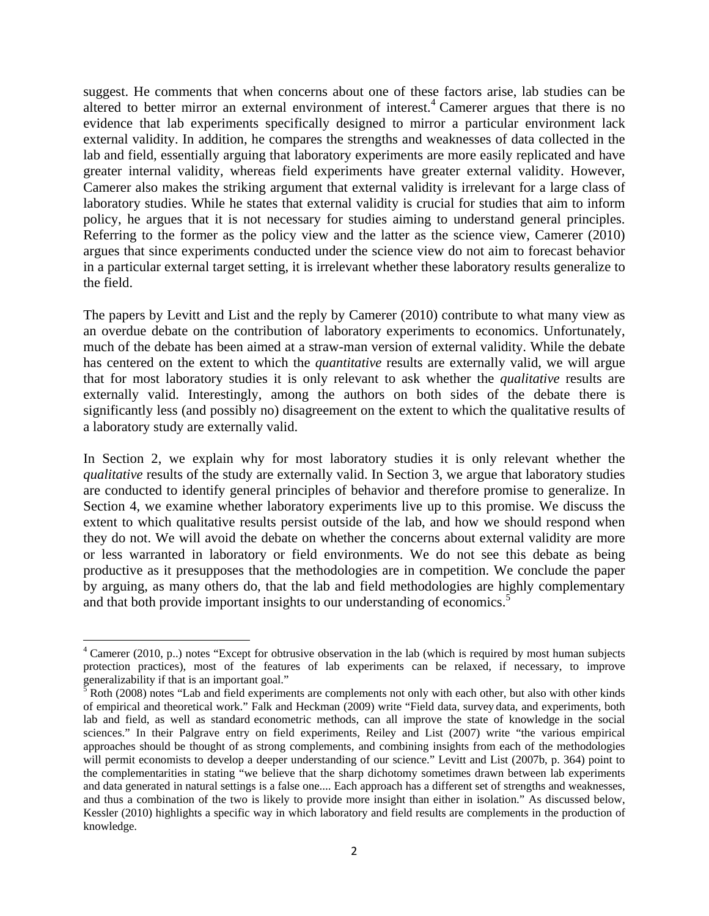suggest. He comments that when concerns about one of these factors arise, lab studies can be altered to better mirror an external environment of interest.<sup>4</sup> Camerer argues that there is no evidence that lab experiments specifically designed to mirror a particular environment lack external validity. In addition, he compares the strengths and weaknesses of data collected in the lab and field, essentially arguing that laboratory experiments are more easily replicated and have greater internal validity, whereas field experiments have greater external validity. However, Camerer also makes the striking argument that external validity is irrelevant for a large class of laboratory studies. While he states that external validity is crucial for studies that aim to inform policy, he argues that it is not necessary for studies aiming to understand general principles. Referring to the former as the policy view and the latter as the science view, Camerer (2010) argues that since experiments conducted under the science view do not aim to forecast behavior in a particular external target setting, it is irrelevant whether these laboratory results generalize to the field.

The papers by Levitt and List and the reply by Camerer (2010) contribute to what many view as an overdue debate on the contribution of laboratory experiments to economics. Unfortunately, much of the debate has been aimed at a straw-man version of external validity. While the debate has centered on the extent to which the *quantitative* results are externally valid, we will argue that for most laboratory studies it is only relevant to ask whether the *qualitative* results are externally valid. Interestingly, among the authors on both sides of the debate there is significantly less (and possibly no) disagreement on the extent to which the qualitative results of a laboratory study are externally valid.

In Section 2, we explain why for most laboratory studies it is only relevant whether the *qualitative* results of the study are externally valid. In Section 3, we argue that laboratory studies are conducted to identify general principles of behavior and therefore promise to generalize. In Section 4, we examine whether laboratory experiments live up to this promise. We discuss the extent to which qualitative results persist outside of the lab, and how we should respond when they do not. We will avoid the debate on whether the concerns about external validity are more or less warranted in laboratory or field environments. We do not see this debate as being productive as it presupposes that the methodologies are in competition. We conclude the paper by arguing, as many others do, that the lab and field methodologies are highly complementary and that both provide important insights to our understanding of economics.<sup>5</sup>

<sup>&</sup>lt;sup>4</sup> Camerer (2010, p..) notes "Except for obtrusive observation in the lab (which is required by most human subjects protection practices), most of the features of lab experiments can be relaxed, if necessary, to improve generalizability if that is an important goal."<br><sup>5</sup> Roth (2008) notes "Lab and field experiments are complements not only with each other, but also with other kinds

of empirical and theoretical work." Falk and Heckman (2009) write "Field data, survey data, and experiments, both lab and field, as well as standard econometric methods, can all improve the state of knowledge in the social sciences." In their Palgrave entry on field experiments, Reiley and List (2007) write "the various empirical approaches should be thought of as strong complements, and combining insights from each of the methodologies will permit economists to develop a deeper understanding of our science." Levitt and List (2007b, p. 364) point to the complementarities in stating "we believe that the sharp dichotomy sometimes drawn between lab experiments and data generated in natural settings is a false one.... Each approach has a different set of strengths and weaknesses, and thus a combination of the two is likely to provide more insight than either in isolation." As discussed below, Kessler (2010) highlights a specific way in which laboratory and field results are complements in the production of knowledge.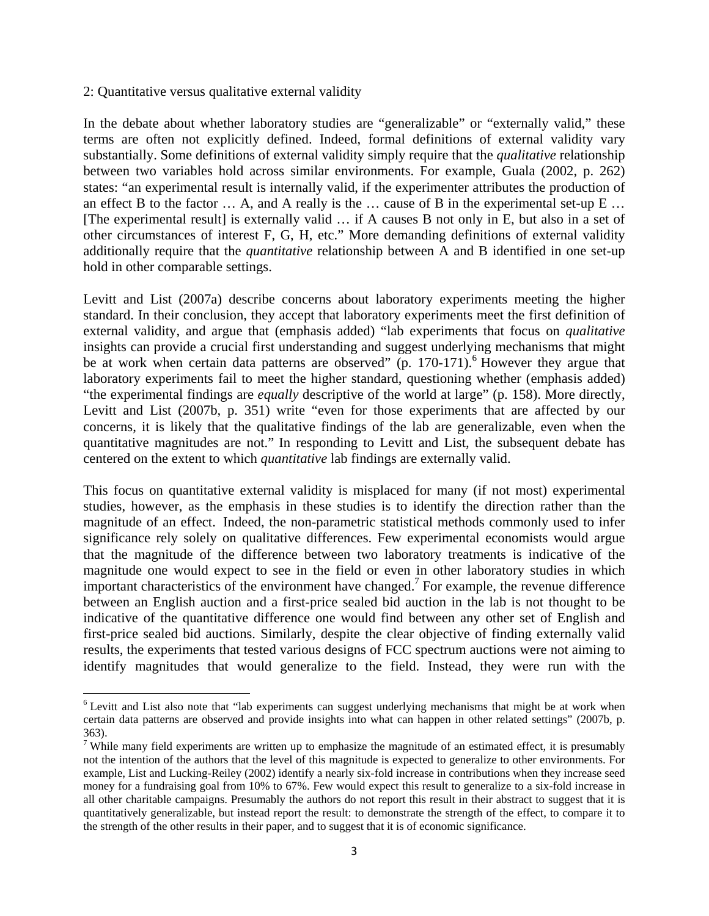#### 2: Quantitative versus qualitative external validity

In the debate about whether laboratory studies are "generalizable" or "externally valid," these terms are often not explicitly defined. Indeed, formal definitions of external validity vary substantially. Some definitions of external validity simply require that the *qualitative* relationship between two variables hold across similar environments. For example, Guala (2002, p. 262) states: "an experimental result is internally valid, if the experimenter attributes the production of an effect B to the factor  $\dots$  A, and A really is the  $\dots$  cause of B in the experimental set-up E  $\dots$ [The experimental result] is externally valid … if A causes B not only in E, but also in a set of other circumstances of interest F, G, H, etc." More demanding definitions of external validity additionally require that the *quantitative* relationship between A and B identified in one set-up hold in other comparable settings.

Levitt and List (2007a) describe concerns about laboratory experiments meeting the higher standard. In their conclusion, they accept that laboratory experiments meet the first definition of external validity, and argue that (emphasis added) "lab experiments that focus on *qualitative*  insights can provide a crucial first understanding and suggest underlying mechanisms that might be at work when certain data patterns are observed" (p. 170-171).<sup>6</sup> However they argue that laboratory experiments fail to meet the higher standard, questioning whether (emphasis added) "the experimental findings are *equally* descriptive of the world at large" (p. 158). More directly, Levitt and List (2007b, p. 351) write "even for those experiments that are affected by our concerns, it is likely that the qualitative findings of the lab are generalizable, even when the quantitative magnitudes are not." In responding to Levitt and List, the subsequent debate has centered on the extent to which *quantitative* lab findings are externally valid.

This focus on quantitative external validity is misplaced for many (if not most) experimental studies, however, as the emphasis in these studies is to identify the direction rather than the magnitude of an effect. Indeed, the non-parametric statistical methods commonly used to infer significance rely solely on qualitative differences. Few experimental economists would argue that the magnitude of the difference between two laboratory treatments is indicative of the magnitude one would expect to see in the field or even in other laboratory studies in which important characteristics of the environment have changed.<sup>7</sup> For example, the revenue difference between an English auction and a first-price sealed bid auction in the lab is not thought to be indicative of the quantitative difference one would find between any other set of English and first-price sealed bid auctions. Similarly, despite the clear objective of finding externally valid results, the experiments that tested various designs of FCC spectrum auctions were not aiming to identify magnitudes that would generalize to the field. Instead, they were run with the

<sup>&</sup>lt;sup>6</sup> Levitt and List also note that "lab experiments can suggest underlying mechanisms that might be at work when certain data patterns are observed and provide insights into what can happen in other related settings" (2007b, p. 363).

<sup>&</sup>lt;sup>7</sup> While many field experiments are written up to emphasize the magnitude of an estimated effect, it is presumably not the intention of the authors that the level of this magnitude is expected to generalize to other environments. For example, List and Lucking-Reiley (2002) identify a nearly six-fold increase in contributions when they increase seed money for a fundraising goal from 10% to 67%. Few would expect this result to generalize to a six-fold increase in all other charitable campaigns. Presumably the authors do not report this result in their abstract to suggest that it is quantitatively generalizable, but instead report the result: to demonstrate the strength of the effect, to compare it to the strength of the other results in their paper, and to suggest that it is of economic significance.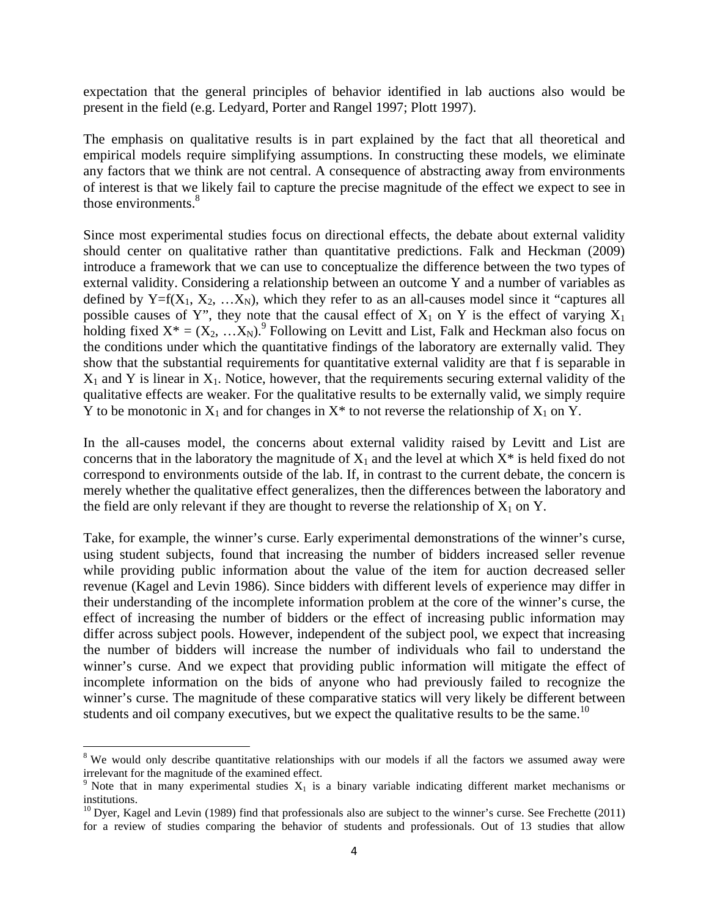expectation that the general principles of behavior identified in lab auctions also would be present in the field (e.g. Ledyard, Porter and Rangel 1997; Plott 1997).

The emphasis on qualitative results is in part explained by the fact that all theoretical and empirical models require simplifying assumptions. In constructing these models, we eliminate any factors that we think are not central. A consequence of abstracting away from environments of interest is that we likely fail to capture the precise magnitude of the effect we expect to see in those environments.<sup>8</sup>

Since most experimental studies focus on directional effects, the debate about external validity should center on qualitative rather than quantitative predictions. Falk and Heckman (2009) introduce a framework that we can use to conceptualize the difference between the two types of external validity. Considering a relationship between an outcome Y and a number of variables as defined by  $Y=f(X_1, X_2, \ldots, X_N)$ , which they refer to as an all-causes model since it "captures all possible causes of Y", they note that the causal effect of  $X_1$  on Y is the effect of varying  $X_1$ holding fixed  $X^* = (X_2, \ldots, X_N)^9$ . Following on Levitt and List, Falk and Heckman also focus on the conditions under which the quantitative findings of the laboratory are externally valid. They show that the substantial requirements for quantitative external validity are that f is separable in  $X_1$  and Y is linear in  $X_1$ . Notice, however, that the requirements securing external validity of the qualitative effects are weaker. For the qualitative results to be externally valid, we simply require Y to be monotonic in  $X_1$  and for changes in  $X^*$  to not reverse the relationship of  $X_1$  on Y.

In the all-causes model, the concerns about external validity raised by Levitt and List are concerns that in the laboratory the magnitude of  $X_1$  and the level at which  $X^*$  is held fixed do not correspond to environments outside of the lab. If, in contrast to the current debate, the concern is merely whether the qualitative effect generalizes, then the differences between the laboratory and the field are only relevant if they are thought to reverse the relationship of  $X_1$  on Y.

Take, for example, the winner's curse. Early experimental demonstrations of the winner's curse, using student subjects, found that increasing the number of bidders increased seller revenue while providing public information about the value of the item for auction decreased seller revenue (Kagel and Levin 1986). Since bidders with different levels of experience may differ in their understanding of the incomplete information problem at the core of the winner's curse, the effect of increasing the number of bidders or the effect of increasing public information may differ across subject pools. However, independent of the subject pool, we expect that increasing the number of bidders will increase the number of individuals who fail to understand the winner's curse. And we expect that providing public information will mitigate the effect of incomplete information on the bids of anyone who had previously failed to recognize the winner's curse. The magnitude of these comparative statics will very likely be different between students and oil company executives, but we expect the qualitative results to be the same.<sup>10</sup>

<sup>&</sup>lt;sup>8</sup> We would only describe quantitative relationships with our models if all the factors we assumed away were irrelevant for the magnitude of the examined effect.

<sup>&</sup>lt;sup>9</sup> Note that in many experimental studies  $X_1$  is a binary variable indicating different market mechanisms or institutions.

 $10$  Dyer, Kagel and Levin (1989) find that professionals also are subject to the winner's curse. See Frechette (2011) for a review of studies comparing the behavior of students and professionals. Out of 13 studies that allow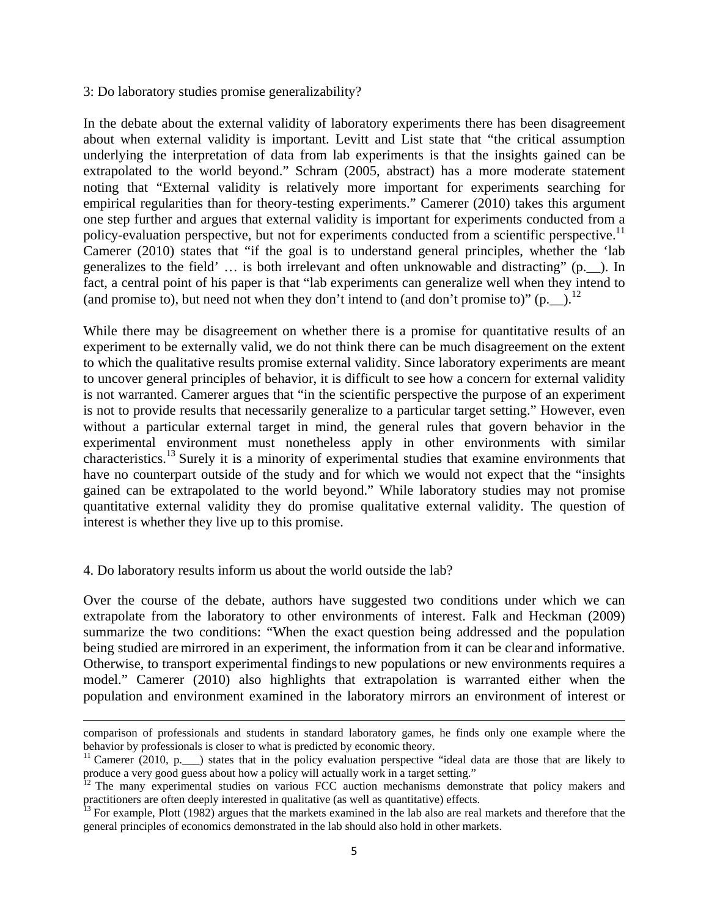#### 3: Do laboratory studies promise generalizability?

In the debate about the external validity of laboratory experiments there has been disagreement about when external validity is important. Levitt and List state that "the critical assumption underlying the interpretation of data from lab experiments is that the insights gained can be extrapolated to the world beyond." Schram (2005, abstract) has a more moderate statement noting that "External validity is relatively more important for experiments searching for empirical regularities than for theory-testing experiments." Camerer (2010) takes this argument one step further and argues that external validity is important for experiments conducted from a policy-evaluation perspective, but not for experiments conducted from a scientific perspective.<sup>11</sup> Camerer (2010) states that "if the goal is to understand general principles, whether the 'lab generalizes to the field' … is both irrelevant and often unknowable and distracting" (p.\_\_). In fact, a central point of his paper is that "lab experiments can generalize well when they intend to (and promise to), but need not when they don't intend to (and don't promise to)"  $(p_{\cdot})$ .<sup>12</sup>

While there may be disagreement on whether there is a promise for quantitative results of an experiment to be externally valid, we do not think there can be much disagreement on the extent to which the qualitative results promise external validity. Since laboratory experiments are meant to uncover general principles of behavior, it is difficult to see how a concern for external validity is not warranted. Camerer argues that "in the scientific perspective the purpose of an experiment is not to provide results that necessarily generalize to a particular target setting." However, even without a particular external target in mind, the general rules that govern behavior in the experimental environment must nonetheless apply in other environments with similar characteristics.13 Surely it is a minority of experimental studies that examine environments that have no counterpart outside of the study and for which we would not expect that the "insights gained can be extrapolated to the world beyond." While laboratory studies may not promise quantitative external validity they do promise qualitative external validity. The question of interest is whether they live up to this promise.

#### 4. Do laboratory results inform us about the world outside the lab?

Over the course of the debate, authors have suggested two conditions under which we can extrapolate from the laboratory to other environments of interest. Falk and Heckman (2009) summarize the two conditions: "When the exact question being addressed and the population being studied are mirrored in an experiment, the information from it can be clear and informative. Otherwise, to transport experimental findingsto new populations or new environments requires a model." Camerer (2010) also highlights that extrapolation is warranted either when the population and environment examined in the laboratory mirrors an environment of interest or

<sup>&</sup>lt;u> 1989 - Johann Stoff, amerikansk politiker (d. 1989)</u> comparison of professionals and students in standard laboratory games, he finds only one example where the behavior by professionals is closer to what is predicted by economic theory.

 $11$  Camerer (2010, p.  $\Box$ ) states that in the policy evaluation perspective "ideal data are those that are likely to produce a very good guess about how a policy will actually work in a target setting."

<sup>&</sup>lt;sup>12</sup> The many experimental studies on various FCC auction mechanisms demonstrate that policy makers and practitioners are often deeply interested in qualitative (as well as quantitative) effects.

<sup>&</sup>lt;sup>13</sup> For example, Plott (1982) argues that the markets examined in the lab also are real markets and therefore that the general principles of economics demonstrated in the lab should also hold in other markets.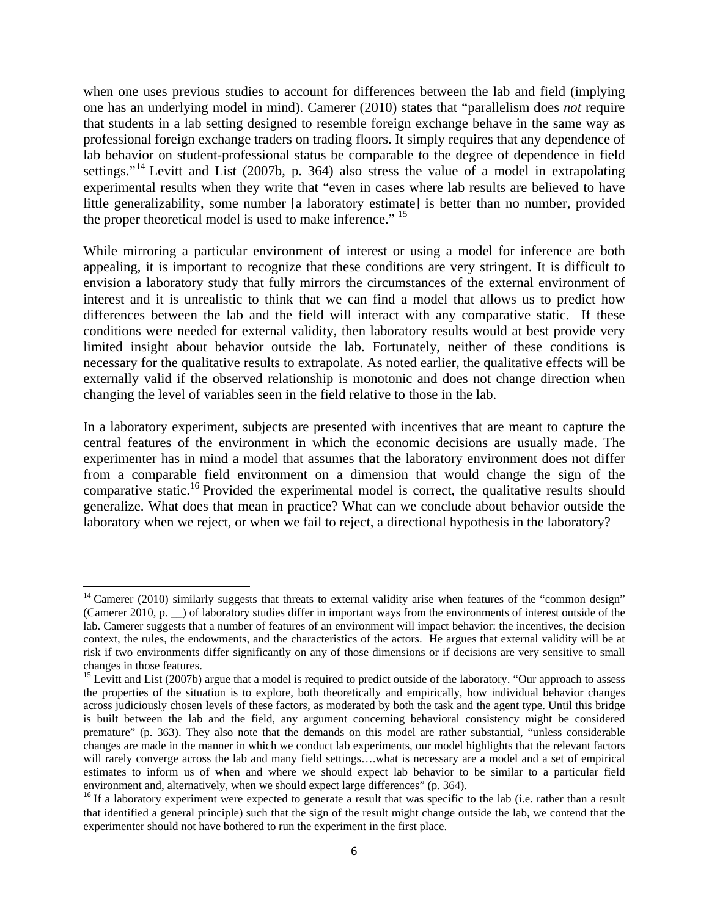when one uses previous studies to account for differences between the lab and field (implying one has an underlying model in mind). Camerer (2010) states that "parallelism does *not* require that students in a lab setting designed to resemble foreign exchange behave in the same way as professional foreign exchange traders on trading floors. It simply requires that any dependence of lab behavior on student-professional status be comparable to the degree of dependence in field settings."<sup>14</sup> Levitt and List (2007b, p. 364) also stress the value of a model in extrapolating experimental results when they write that "even in cases where lab results are believed to have little generalizability, some number [a laboratory estimate] is better than no number, provided the proper theoretical model is used to make inference." <sup>15</sup>

While mirroring a particular environment of interest or using a model for inference are both appealing, it is important to recognize that these conditions are very stringent. It is difficult to envision a laboratory study that fully mirrors the circumstances of the external environment of interest and it is unrealistic to think that we can find a model that allows us to predict how differences between the lab and the field will interact with any comparative static. If these conditions were needed for external validity, then laboratory results would at best provide very limited insight about behavior outside the lab. Fortunately, neither of these conditions is necessary for the qualitative results to extrapolate. As noted earlier, the qualitative effects will be externally valid if the observed relationship is monotonic and does not change direction when changing the level of variables seen in the field relative to those in the lab.

In a laboratory experiment, subjects are presented with incentives that are meant to capture the central features of the environment in which the economic decisions are usually made. The experimenter has in mind a model that assumes that the laboratory environment does not differ from a comparable field environment on a dimension that would change the sign of the comparative static.<sup>16</sup> Provided the experimental model is correct, the qualitative results should generalize. What does that mean in practice? What can we conclude about behavior outside the laboratory when we reject, or when we fail to reject, a directional hypothesis in the laboratory?

 $14$  Camerer (2010) similarly suggests that threats to external validity arise when features of the "common design" (Camerer 2010, p. \_\_) of laboratory studies differ in important ways from the environments of interest outside of the lab. Camerer suggests that a number of features of an environment will impact behavior: the incentives, the decision context, the rules, the endowments, and the characteristics of the actors. He argues that external validity will be at risk if two environments differ significantly on any of those dimensions or if decisions are very sensitive to small changes in those features.

 $15$  Levitt and List (2007b) argue that a model is required to predict outside of the laboratory. "Our approach to assess the properties of the situation is to explore, both theoretically and empirically, how individual behavior changes across judiciously chosen levels of these factors, as moderated by both the task and the agent type. Until this bridge is built between the lab and the field, any argument concerning behavioral consistency might be considered premature" (p. 363). They also note that the demands on this model are rather substantial, "unless considerable changes are made in the manner in which we conduct lab experiments, our model highlights that the relevant factors will rarely converge across the lab and many field settings....what is necessary are a model and a set of empirical estimates to inform us of when and where we should expect lab behavior to be similar to a particular field environment and, alternatively, when we should expect large differences" (p. 364).<br><sup>16</sup> If a laboratory experiment were expected to generate a result that was specific to the lab (i.e. rather than a result

that identified a general principle) such that the sign of the result might change outside the lab, we contend that the experimenter should not have bothered to run the experiment in the first place.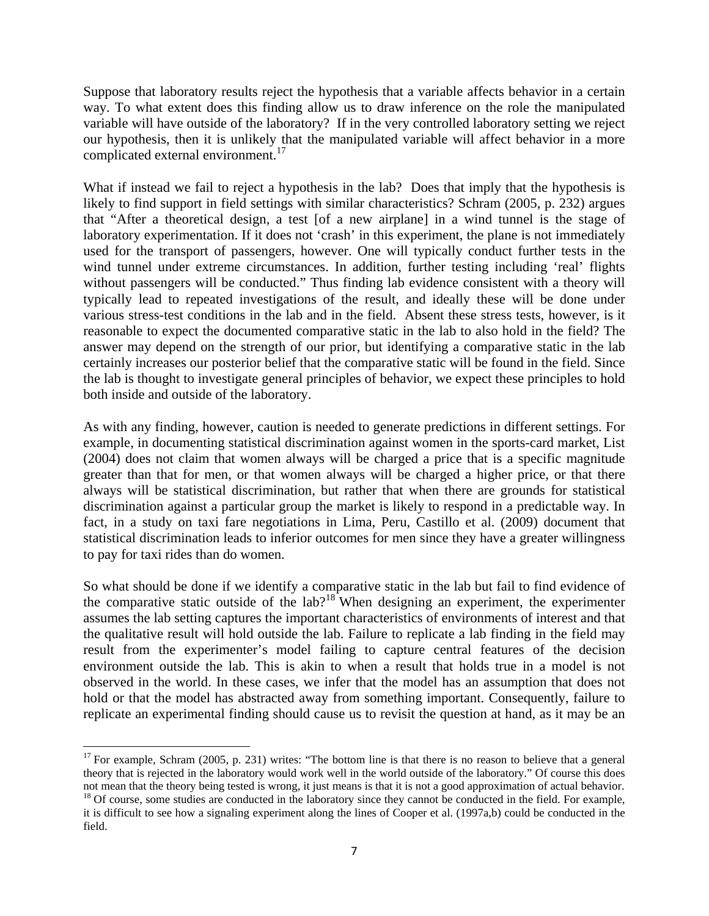Suppose that laboratory results reject the hypothesis that a variable affects behavior in a certain way. To what extent does this finding allow us to draw inference on the role the manipulated variable will have outside of the laboratory? If in the very controlled laboratory setting we reject our hypothesis, then it is unlikely that the manipulated variable will affect behavior in a more complicated external environment.<sup>17</sup>

What if instead we fail to reject a hypothesis in the lab? Does that imply that the hypothesis is likely to find support in field settings with similar characteristics? Schram (2005, p. 232) argues that "After a theoretical design, a test [of a new airplane] in a wind tunnel is the stage of laboratory experimentation. If it does not 'crash' in this experiment, the plane is not immediately used for the transport of passengers, however. One will typically conduct further tests in the wind tunnel under extreme circumstances. In addition, further testing including 'real' flights without passengers will be conducted." Thus finding lab evidence consistent with a theory will typically lead to repeated investigations of the result, and ideally these will be done under various stress-test conditions in the lab and in the field. Absent these stress tests, however, is it reasonable to expect the documented comparative static in the lab to also hold in the field? The answer may depend on the strength of our prior, but identifying a comparative static in the lab certainly increases our posterior belief that the comparative static will be found in the field. Since the lab is thought to investigate general principles of behavior, we expect these principles to hold both inside and outside of the laboratory.

As with any finding, however, caution is needed to generate predictions in different settings. For example, in documenting statistical discrimination against women in the sports-card market, List (2004) does not claim that women always will be charged a price that is a specific magnitude greater than that for men, or that women always will be charged a higher price, or that there always will be statistical discrimination, but rather that when there are grounds for statistical discrimination against a particular group the market is likely to respond in a predictable way. In fact, in a study on taxi fare negotiations in Lima, Peru, Castillo et al. (2009) document that statistical discrimination leads to inferior outcomes for men since they have a greater willingness to pay for taxi rides than do women.

So what should be done if we identify a comparative static in the lab but fail to find evidence of the comparative static outside of the lab?<sup>18</sup> When designing an experiment, the experimenter assumes the lab setting captures the important characteristics of environments of interest and that the qualitative result will hold outside the lab. Failure to replicate a lab finding in the field may result from the experimenter's model failing to capture central features of the decision environment outside the lab. This is akin to when a result that holds true in a model is not observed in the world. In these cases, we infer that the model has an assumption that does not hold or that the model has abstracted away from something important. Consequently, failure to replicate an experimental finding should cause us to revisit the question at hand, as it may be an

  $17$  For example, Schram (2005, p. 231) writes: "The bottom line is that there is no reason to believe that a general theory that is rejected in the laboratory would work well in the world outside of the laboratory." Of course this does not mean that the theory being tested is wrong, it just means is that it is not a good approximation of actual behavior.

<sup>&</sup>lt;sup>18</sup> Of course, some studies are conducted in the laboratory since they cannot be conducted in the field. For example, it is difficult to see how a signaling experiment along the lines of Cooper et al. (1997a,b) could be conducted in the field.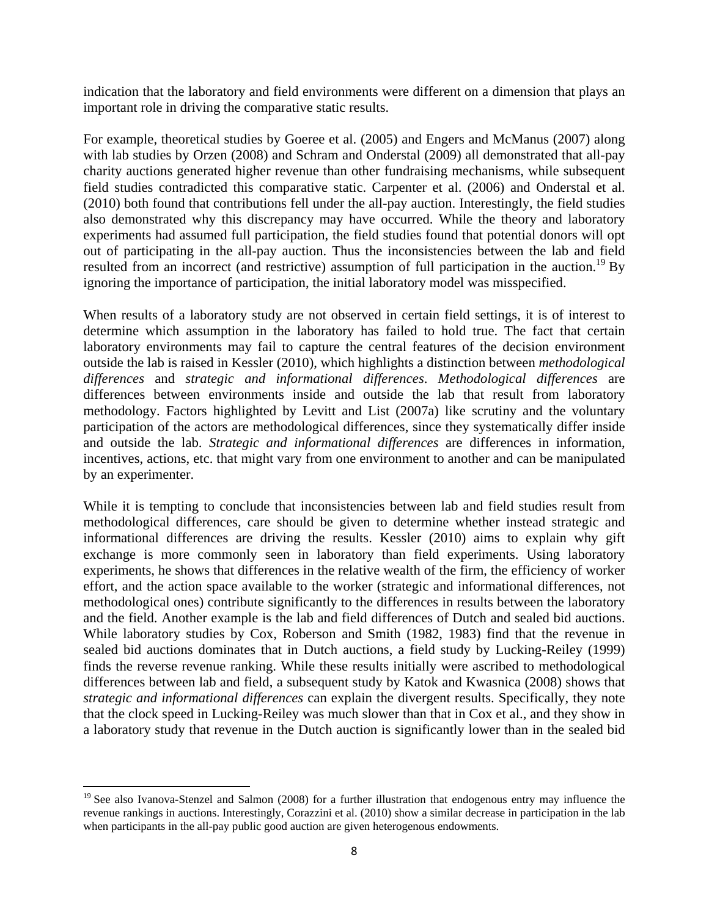indication that the laboratory and field environments were different on a dimension that plays an important role in driving the comparative static results.

For example, theoretical studies by Goeree et al. (2005) and Engers and McManus (2007) along with lab studies by Orzen (2008) and Schram and Onderstal (2009) all demonstrated that all-pay charity auctions generated higher revenue than other fundraising mechanisms, while subsequent field studies contradicted this comparative static. Carpenter et al. (2006) and Onderstal et al. (2010) both found that contributions fell under the all-pay auction. Interestingly, the field studies also demonstrated why this discrepancy may have occurred. While the theory and laboratory experiments had assumed full participation, the field studies found that potential donors will opt out of participating in the all-pay auction. Thus the inconsistencies between the lab and field resulted from an incorrect (and restrictive) assumption of full participation in the auction.<sup>19</sup> By ignoring the importance of participation, the initial laboratory model was misspecified.

When results of a laboratory study are not observed in certain field settings, it is of interest to determine which assumption in the laboratory has failed to hold true. The fact that certain laboratory environments may fail to capture the central features of the decision environment outside the lab is raised in Kessler (2010), which highlights a distinction between *methodological differences* and *strategic and informational differences*. *Methodological differences* are differences between environments inside and outside the lab that result from laboratory methodology. Factors highlighted by Levitt and List (2007a) like scrutiny and the voluntary participation of the actors are methodological differences, since they systematically differ inside and outside the lab. *Strategic and informational differences* are differences in information, incentives, actions, etc. that might vary from one environment to another and can be manipulated by an experimenter.

While it is tempting to conclude that inconsistencies between lab and field studies result from methodological differences, care should be given to determine whether instead strategic and informational differences are driving the results. Kessler (2010) aims to explain why gift exchange is more commonly seen in laboratory than field experiments. Using laboratory experiments, he shows that differences in the relative wealth of the firm, the efficiency of worker effort, and the action space available to the worker (strategic and informational differences, not methodological ones) contribute significantly to the differences in results between the laboratory and the field. Another example is the lab and field differences of Dutch and sealed bid auctions. While laboratory studies by Cox, Roberson and Smith (1982, 1983) find that the revenue in sealed bid auctions dominates that in Dutch auctions, a field study by Lucking-Reiley (1999) finds the reverse revenue ranking. While these results initially were ascribed to methodological differences between lab and field, a subsequent study by Katok and Kwasnica (2008) shows that *strategic and informational differences* can explain the divergent results. Specifically, they note that the clock speed in Lucking-Reiley was much slower than that in Cox et al., and they show in a laboratory study that revenue in the Dutch auction is significantly lower than in the sealed bid

 $19$  See also Ivanova-Stenzel and Salmon (2008) for a further illustration that endogenous entry may influence the revenue rankings in auctions. Interestingly, Corazzini et al. (2010) show a similar decrease in participation in the lab when participants in the all-pay public good auction are given heterogenous endowments.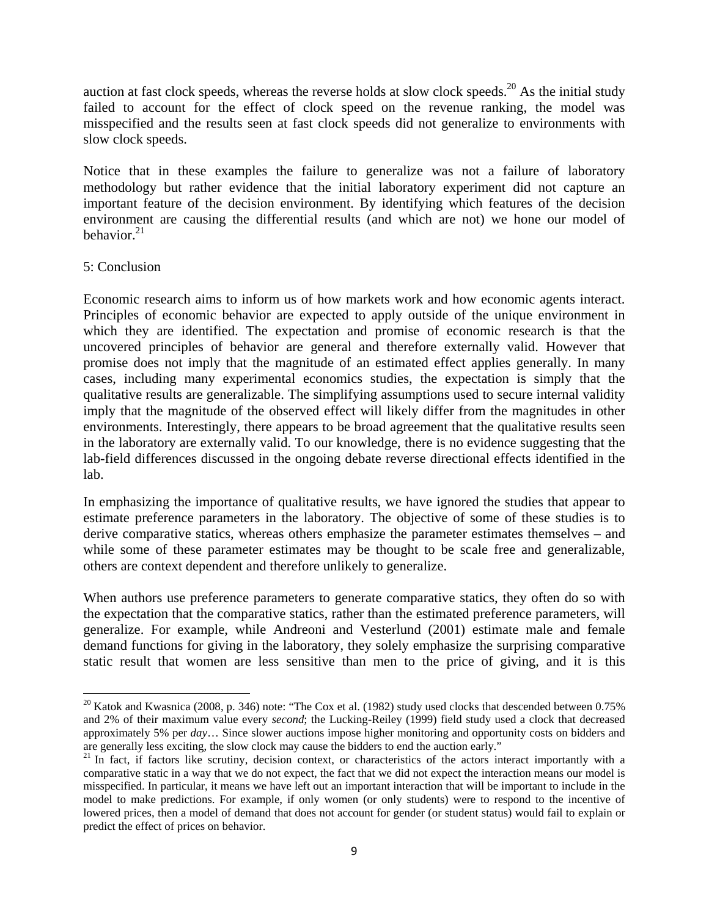auction at fast clock speeds, whereas the reverse holds at slow clock speeds.<sup>20</sup> As the initial study failed to account for the effect of clock speed on the revenue ranking, the model was misspecified and the results seen at fast clock speeds did not generalize to environments with slow clock speeds.

Notice that in these examples the failure to generalize was not a failure of laboratory methodology but rather evidence that the initial laboratory experiment did not capture an important feature of the decision environment. By identifying which features of the decision environment are causing the differential results (and which are not) we hone our model of behavior. $21$ 

# 5: Conclusion

Economic research aims to inform us of how markets work and how economic agents interact. Principles of economic behavior are expected to apply outside of the unique environment in which they are identified. The expectation and promise of economic research is that the uncovered principles of behavior are general and therefore externally valid. However that promise does not imply that the magnitude of an estimated effect applies generally. In many cases, including many experimental economics studies, the expectation is simply that the qualitative results are generalizable. The simplifying assumptions used to secure internal validity imply that the magnitude of the observed effect will likely differ from the magnitudes in other environments. Interestingly, there appears to be broad agreement that the qualitative results seen in the laboratory are externally valid. To our knowledge, there is no evidence suggesting that the lab-field differences discussed in the ongoing debate reverse directional effects identified in the lab.

In emphasizing the importance of qualitative results, we have ignored the studies that appear to estimate preference parameters in the laboratory. The objective of some of these studies is to derive comparative statics, whereas others emphasize the parameter estimates themselves – and while some of these parameter estimates may be thought to be scale free and generalizable, others are context dependent and therefore unlikely to generalize.

When authors use preference parameters to generate comparative statics, they often do so with the expectation that the comparative statics, rather than the estimated preference parameters, will generalize. For example, while Andreoni and Vesterlund (2001) estimate male and female demand functions for giving in the laboratory, they solely emphasize the surprising comparative static result that women are less sensitive than men to the price of giving, and it is this

 $20$  Katok and Kwasnica (2008, p. 346) note: "The Cox et al. (1982) study used clocks that descended between 0.75% and 2% of their maximum value every *second*; the Lucking-Reiley (1999) field study used a clock that decreased approximately 5% per *day*… Since slower auctions impose higher monitoring and opportunity costs on bidders and are generally less exciting, the slow clock may cause the bidders to end the auction early."

<sup>&</sup>lt;sup>21</sup> In fact, if factors like scrutiny, decision context, or characteristics of the actors interact importantly with a comparative static in a way that we do not expect, the fact that we did not expect the interaction means our model is misspecified. In particular, it means we have left out an important interaction that will be important to include in the model to make predictions. For example, if only women (or only students) were to respond to the incentive of lowered prices, then a model of demand that does not account for gender (or student status) would fail to explain or predict the effect of prices on behavior.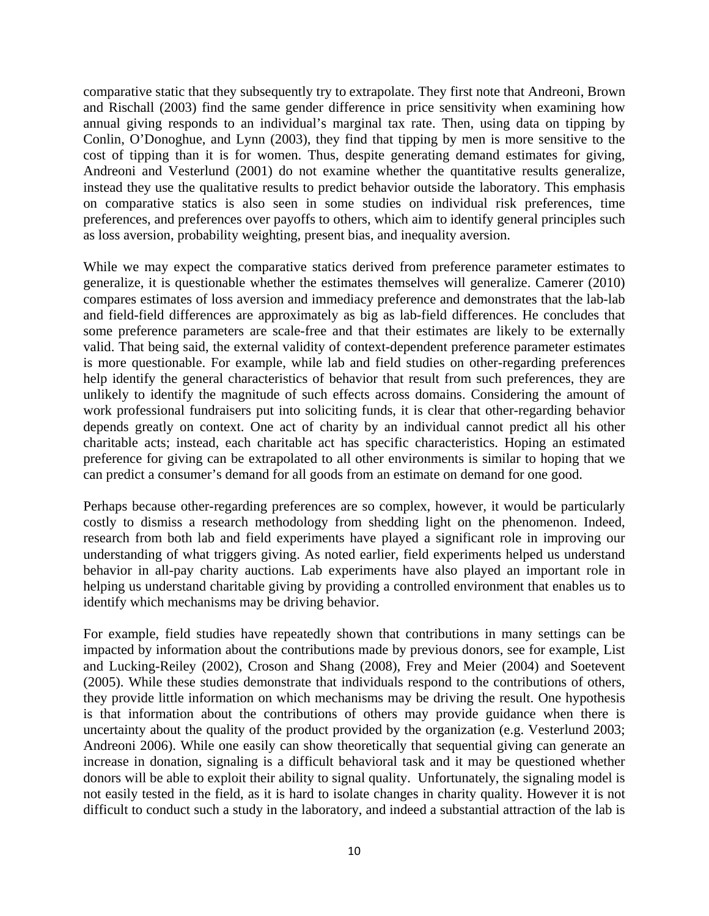comparative static that they subsequently try to extrapolate. They first note that Andreoni, Brown and Rischall (2003) find the same gender difference in price sensitivity when examining how annual giving responds to an individual's marginal tax rate. Then, using data on tipping by Conlin, O'Donoghue, and Lynn (2003), they find that tipping by men is more sensitive to the cost of tipping than it is for women. Thus, despite generating demand estimates for giving, Andreoni and Vesterlund (2001) do not examine whether the quantitative results generalize, instead they use the qualitative results to predict behavior outside the laboratory. This emphasis on comparative statics is also seen in some studies on individual risk preferences, time preferences, and preferences over payoffs to others, which aim to identify general principles such as loss aversion, probability weighting, present bias, and inequality aversion.

While we may expect the comparative statics derived from preference parameter estimates to generalize, it is questionable whether the estimates themselves will generalize. Camerer (2010) compares estimates of loss aversion and immediacy preference and demonstrates that the lab-lab and field-field differences are approximately as big as lab-field differences. He concludes that some preference parameters are scale-free and that their estimates are likely to be externally valid. That being said, the external validity of context-dependent preference parameter estimates is more questionable. For example, while lab and field studies on other-regarding preferences help identify the general characteristics of behavior that result from such preferences, they are unlikely to identify the magnitude of such effects across domains. Considering the amount of work professional fundraisers put into soliciting funds, it is clear that other-regarding behavior depends greatly on context. One act of charity by an individual cannot predict all his other charitable acts; instead, each charitable act has specific characteristics. Hoping an estimated preference for giving can be extrapolated to all other environments is similar to hoping that we can predict a consumer's demand for all goods from an estimate on demand for one good.

Perhaps because other-regarding preferences are so complex, however, it would be particularly costly to dismiss a research methodology from shedding light on the phenomenon. Indeed, research from both lab and field experiments have played a significant role in improving our understanding of what triggers giving. As noted earlier, field experiments helped us understand behavior in all-pay charity auctions. Lab experiments have also played an important role in helping us understand charitable giving by providing a controlled environment that enables us to identify which mechanisms may be driving behavior.

For example, field studies have repeatedly shown that contributions in many settings can be impacted by information about the contributions made by previous donors, see for example, List and Lucking-Reiley (2002), Croson and Shang (2008), Frey and Meier (2004) and Soetevent (2005). While these studies demonstrate that individuals respond to the contributions of others, they provide little information on which mechanisms may be driving the result. One hypothesis is that information about the contributions of others may provide guidance when there is uncertainty about the quality of the product provided by the organization (e.g. Vesterlund 2003; Andreoni 2006). While one easily can show theoretically that sequential giving can generate an increase in donation, signaling is a difficult behavioral task and it may be questioned whether donors will be able to exploit their ability to signal quality. Unfortunately, the signaling model is not easily tested in the field, as it is hard to isolate changes in charity quality. However it is not difficult to conduct such a study in the laboratory, and indeed a substantial attraction of the lab is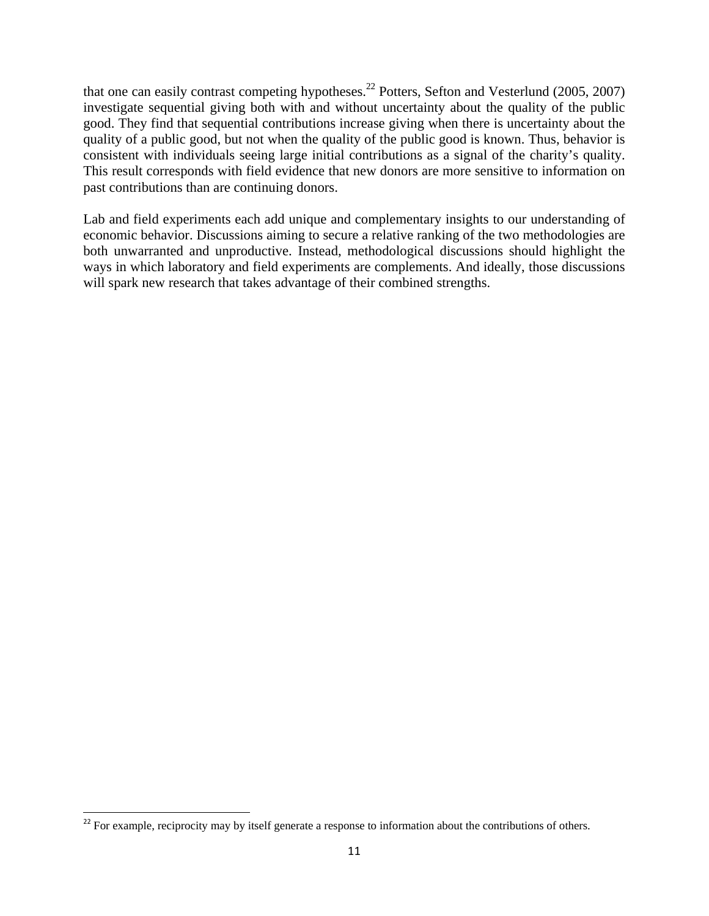that one can easily contrast competing hypotheses.<sup>22</sup> Potters, Sefton and Vesterlund (2005, 2007) investigate sequential giving both with and without uncertainty about the quality of the public good. They find that sequential contributions increase giving when there is uncertainty about the quality of a public good, but not when the quality of the public good is known. Thus, behavior is consistent with individuals seeing large initial contributions as a signal of the charity's quality. This result corresponds with field evidence that new donors are more sensitive to information on past contributions than are continuing donors.

Lab and field experiments each add unique and complementary insights to our understanding of economic behavior. Discussions aiming to secure a relative ranking of the two methodologies are both unwarranted and unproductive. Instead, methodological discussions should highlight the ways in which laboratory and field experiments are complements. And ideally, those discussions will spark new research that takes advantage of their combined strengths.

<sup>&</sup>lt;sup>22</sup> For example, reciprocity may by itself generate a response to information about the contributions of others.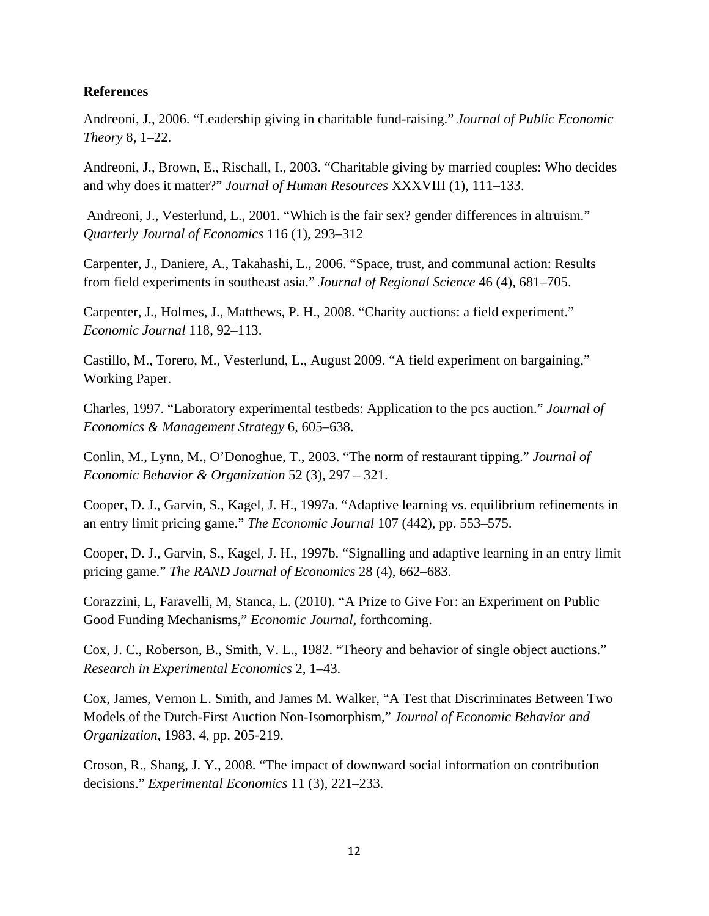### **References**

Andreoni, J., 2006. "Leadership giving in charitable fund-raising." *Journal of Public Economic Theory* 8, 1–22.

Andreoni, J., Brown, E., Rischall, I., 2003. "Charitable giving by married couples: Who decides and why does it matter?" *Journal of Human Resources* XXXVIII (1), 111–133.

 Andreoni, J., Vesterlund, L., 2001. "Which is the fair sex? gender differences in altruism." *Quarterly Journal of Economics* 116 (1), 293–312

Carpenter, J., Daniere, A., Takahashi, L., 2006. "Space, trust, and communal action: Results from field experiments in southeast asia." *Journal of Regional Science* 46 (4), 681–705.

Carpenter, J., Holmes, J., Matthews, P. H., 2008. "Charity auctions: a field experiment." *Economic Journal* 118, 92–113.

Castillo, M., Torero, M., Vesterlund, L., August 2009. "A field experiment on bargaining," Working Paper.

Charles, 1997. "Laboratory experimental testbeds: Application to the pcs auction." *Journal of Economics & Management Strategy* 6, 605–638.

Conlin, M., Lynn, M., O'Donoghue, T., 2003. "The norm of restaurant tipping." *Journal of Economic Behavior & Organization* 52 (3), 297 – 321.

Cooper, D. J., Garvin, S., Kagel, J. H., 1997a. "Adaptive learning vs. equilibrium refinements in an entry limit pricing game." *The Economic Journal* 107 (442), pp. 553–575.

Cooper, D. J., Garvin, S., Kagel, J. H., 1997b. "Signalling and adaptive learning in an entry limit pricing game." *The RAND Journal of Economics* 28 (4), 662–683.

Corazzini, L, Faravelli, M, Stanca, L. (2010). "A Prize to Give For: an Experiment on Public Good Funding Mechanisms," *Economic Journal*, forthcoming.

Cox, J. C., Roberson, B., Smith, V. L., 1982. "Theory and behavior of single object auctions." *Research in Experimental Economics* 2, 1–43.

Cox, James, Vernon L. Smith, and James M. Walker, "A Test that Discriminates Between Two Models of the Dutch-First Auction Non-Isomorphism," *Journal of Economic Behavior and Organization*, 1983, 4, pp. 205-219.

Croson, R., Shang, J. Y., 2008. "The impact of downward social information on contribution decisions." *Experimental Economics* 11 (3), 221–233.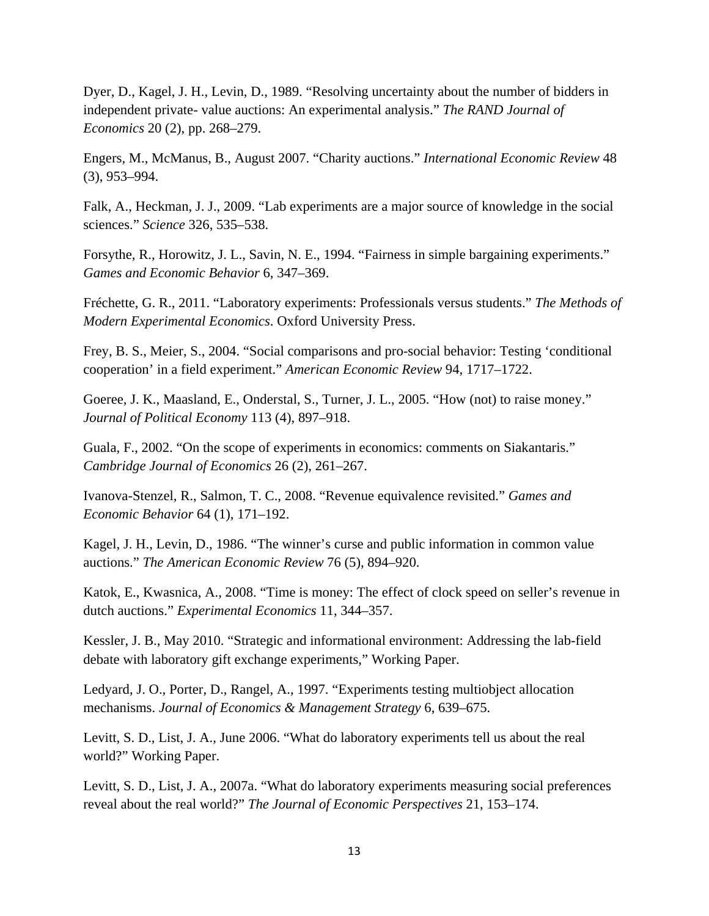Dyer, D., Kagel, J. H., Levin, D., 1989. "Resolving uncertainty about the number of bidders in independent private- value auctions: An experimental analysis." *The RAND Journal of Economics* 20 (2), pp. 268–279.

Engers, M., McManus, B., August 2007. "Charity auctions." *International Economic Review* 48 (3), 953–994.

Falk, A., Heckman, J. J., 2009. "Lab experiments are a major source of knowledge in the social sciences." *Science* 326, 535–538.

Forsythe, R., Horowitz, J. L., Savin, N. E., 1994. "Fairness in simple bargaining experiments." *Games and Economic Behavior* 6, 347–369.

Fréchette, G. R., 2011. "Laboratory experiments: Professionals versus students." *The Methods of Modern Experimental Economics*. Oxford University Press.

Frey, B. S., Meier, S., 2004. "Social comparisons and pro-social behavior: Testing 'conditional cooperation' in a field experiment." *American Economic Review* 94, 1717–1722.

Goeree, J. K., Maasland, E., Onderstal, S., Turner, J. L., 2005. "How (not) to raise money." *Journal of Political Economy* 113 (4), 897–918.

Guala, F., 2002. "On the scope of experiments in economics: comments on Siakantaris." *Cambridge Journal of Economics* 26 (2), 261–267.

Ivanova-Stenzel, R., Salmon, T. C., 2008. "Revenue equivalence revisited." *Games and Economic Behavior* 64 (1), 171–192.

Kagel, J. H., Levin, D., 1986. "The winner's curse and public information in common value auctions." *The American Economic Review* 76 (5), 894–920.

Katok, E., Kwasnica, A., 2008. "Time is money: The effect of clock speed on seller's revenue in dutch auctions." *Experimental Economics* 11, 344–357.

Kessler, J. B., May 2010. "Strategic and informational environment: Addressing the lab-field debate with laboratory gift exchange experiments," Working Paper.

Ledyard, J. O., Porter, D., Rangel, A., 1997. "Experiments testing multiobject allocation mechanisms. *Journal of Economics & Management Strategy* 6, 639–675.

Levitt, S. D., List, J. A., June 2006. "What do laboratory experiments tell us about the real world?" Working Paper.

Levitt, S. D., List, J. A., 2007a. "What do laboratory experiments measuring social preferences reveal about the real world?" *The Journal of Economic Perspectives* 21, 153–174.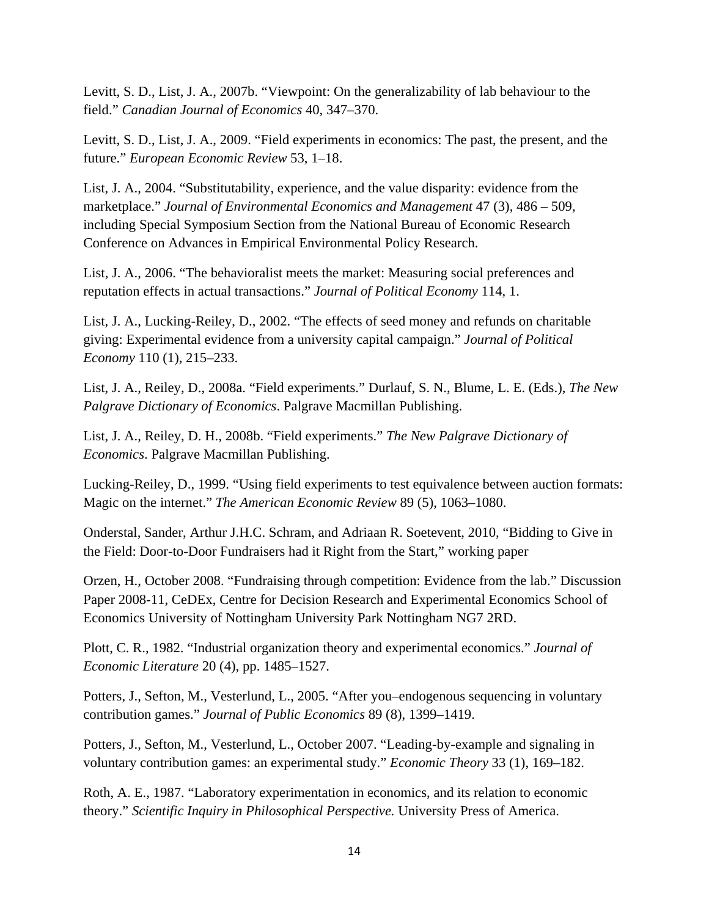Levitt, S. D., List, J. A., 2007b. "Viewpoint: On the generalizability of lab behaviour to the field." *Canadian Journal of Economics* 40, 347–370.

Levitt, S. D., List, J. A., 2009. "Field experiments in economics: The past, the present, and the future." *European Economic Review* 53, 1–18.

List, J. A., 2004. "Substitutability, experience, and the value disparity: evidence from the marketplace." *Journal of Environmental Economics and Management* 47 (3), 486 – 509, including Special Symposium Section from the National Bureau of Economic Research Conference on Advances in Empirical Environmental Policy Research.

List, J. A., 2006. "The behavioralist meets the market: Measuring social preferences and reputation effects in actual transactions." *Journal of Political Economy* 114, 1.

List, J. A., Lucking-Reiley, D., 2002. "The effects of seed money and refunds on charitable giving: Experimental evidence from a university capital campaign." *Journal of Political Economy* 110 (1), 215–233.

List, J. A., Reiley, D., 2008a. "Field experiments." Durlauf, S. N., Blume, L. E. (Eds.), *The New Palgrave Dictionary of Economics*. Palgrave Macmillan Publishing.

List, J. A., Reiley, D. H., 2008b. "Field experiments." *The New Palgrave Dictionary of Economics*. Palgrave Macmillan Publishing.

Lucking-Reiley, D., 1999. "Using field experiments to test equivalence between auction formats: Magic on the internet." *The American Economic Review* 89 (5), 1063–1080.

Onderstal, Sander, Arthur J.H.C. Schram, and Adriaan R. Soetevent, 2010, "Bidding to Give in the Field: Door-to-Door Fundraisers had it Right from the Start," working paper

Orzen, H., October 2008. "Fundraising through competition: Evidence from the lab." Discussion Paper 2008-11, CeDEx, Centre for Decision Research and Experimental Economics School of Economics University of Nottingham University Park Nottingham NG7 2RD.

Plott, C. R., 1982. "Industrial organization theory and experimental economics." *Journal of Economic Literature* 20 (4), pp. 1485–1527.

Potters, J., Sefton, M., Vesterlund, L., 2005. "After you–endogenous sequencing in voluntary contribution games." *Journal of Public Economics* 89 (8), 1399–1419.

Potters, J., Sefton, M., Vesterlund, L., October 2007. "Leading-by-example and signaling in voluntary contribution games: an experimental study." *Economic Theory* 33 (1), 169–182.

Roth, A. E., 1987. "Laboratory experimentation in economics, and its relation to economic theory." *Scientific Inquiry in Philosophical Perspective.* University Press of America.